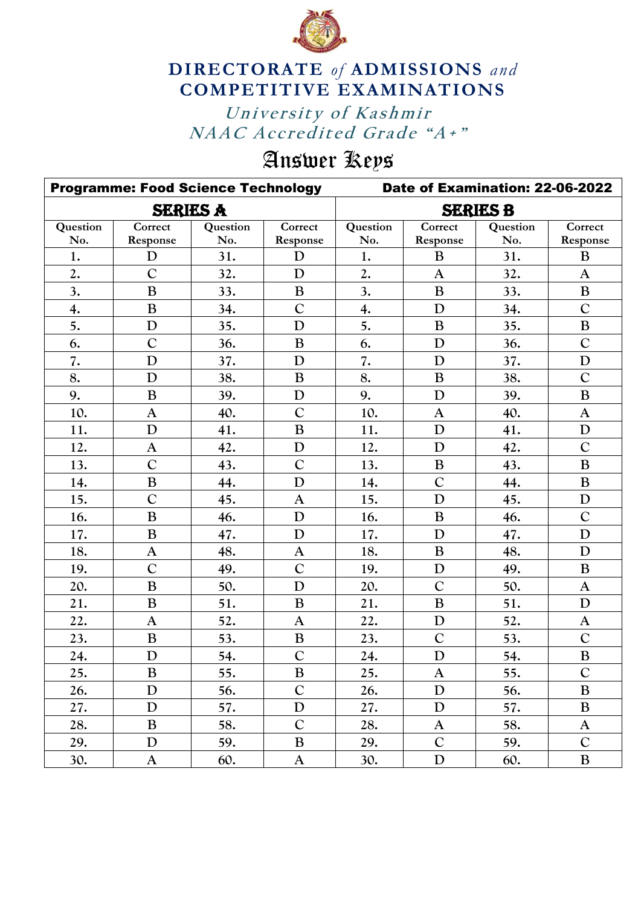

## **DIRECTORATE** *of* **ADMISSIONS** *and* **COMPETITIVE EXAMINATIONS**

University of Kashmir *NAAC Accredited Grade "A+"* University of Kashmir

## Answer Keys

|          | <b>Programme: Food Science Technology</b> |                 |                | Date of Examination: 22-06-2022 |                |          |                |  |
|----------|-------------------------------------------|-----------------|----------------|---------------------------------|----------------|----------|----------------|--|
|          |                                           | <b>SERIES A</b> |                | <b>SERIES B</b>                 |                |          |                |  |
| Question | Correct                                   | Question        | Correct        | Question                        | Correct        | Question | Correct        |  |
| No.      | Response                                  | No.             | Response       | No.                             | Response       | No.      | Response       |  |
| 1.       | D                                         | 31.             | D              | 1.                              | B              | 31.      | B              |  |
| 2.       | $\overline{C}$                            | 32.             | D              | 2.                              | $\mathbf{A}$   | 32.      | $\mathbf{A}$   |  |
| 3.       | $\bf{B}$                                  | 33.             | B              | 3.                              | $\bf{B}$       | 33.      | $\bf{B}$       |  |
| 4.       | $\bf{B}$                                  | 34.             | $\mathcal{C}$  | 4.                              | D              | 34.      | $\mathbf C$    |  |
| 5.       | D                                         | 35.             | D              | 5.                              | $\bf{B}$       | 35.      | $\bf{B}$       |  |
| 6.       | $\mathsf{C}$                              | 36.             | B              | 6.                              | D              | 36.      | $\mathbf C$    |  |
| 7.       | D                                         | 37.             | D              | 7.                              | D              | 37.      | D              |  |
| 8.       | D                                         | 38.             | $\bf{B}$       | 8.                              | $\overline{B}$ | 38.      | $\overline{C}$ |  |
| 9.       | $\bf{B}$                                  | 39.             | $\mathbf D$    | 9.                              | D              | 39.      | B              |  |
| 10.      | $\mathbf{A}$                              | 40.             | $\overline{C}$ | 10.                             | $\mathbf{A}$   | 40.      | $\mathbf{A}$   |  |
| 11.      | D                                         | 41.             | $\bf{B}$       | 11.                             | $\mathbf D$    | 41.      | ${\bf D}$      |  |
| 12.      | $\mathbf{A}$                              | 42.             | D              | 12.                             | D              | 42.      | $\mathbf C$    |  |
| 13.      | $\mathcal{C}$                             | 43.             | $\overline{C}$ | 13.                             | $\bf{B}$       | 43.      | $\bf{B}$       |  |
| 14.      | $\bf{B}$                                  | 44.             | D              | 14.                             | $\overline{C}$ | 44.      | $\bf{B}$       |  |
| 15.      | $\overline{C}$                            | 45.             | $\mathbf{A}$   | 15.                             | D              | 45.      | ${\bf D}$      |  |
| 16.      | B                                         | 46.             | $\mathbf D$    | 16.                             | $\bf{B}$       | 46.      | $\overline{C}$ |  |
| 17.      | $\bf{B}$                                  | 47.             | D              | 17.                             | D              | 47.      | D              |  |
| 18.      | $\mathbf{A}$                              | 48.             | $\mathbf{A}$   | 18.                             | $\bf{B}$       | 48.      | $\mathbf D$    |  |
| 19.      | $\overline{C}$                            | 49.             | $\overline{C}$ | 19.                             | $\mathbf D$    | 49.      | $\bf{B}$       |  |
| 20.      | $\bf{B}$                                  | 50.             | D              | 20.                             | $\overline{C}$ | 50.      | $\mathbf{A}$   |  |
| 21.      | $\bf{B}$                                  | 51.             | $\bf{B}$       | 21.                             | $\bf{B}$       | 51.      | $\mathbf D$    |  |
| 22.      | $\mathbf{A}$                              | 52.             | $\mathbf{A}$   | 22.                             | $\mathbf D$    | 52.      | $\mathbf{A}$   |  |
| 23.      | $\bf{B}$                                  | 53.             | $\, {\bf B}$   | 23.                             | $\mathcal{C}$  | 53.      | $\mathbf C$    |  |
| 24.      | D                                         | 54.             | $\overline{C}$ | 24.                             | D              | 54.      | $\bf{B}$       |  |
| 25.      | B                                         | 55.             | B              | 25.                             | $\mathbf{A}$   | 55.      | $\mathbf C$    |  |
| 26.      | D                                         | 56.             | $\mathcal{C}$  | 26.                             | ${\bf D}$      | 56.      | $\, {\bf B}$   |  |
| 27.      | D                                         | 57.             | $\mathbf D$    | 27.                             | $\mathbf D$    | 57.      | $\, {\bf B}$   |  |
| 28.      | B                                         | 58.             | $\mathbf C$    | 28.                             | $\mathbf{A}$   | 58.      | $\mathbf{A}$   |  |
| 29.      | D                                         | 59.             | B              | 29.                             | $\mathbf C$    | 59.      | $\mathbf C$    |  |
| 30.      | $\mathbf{A}$                              | 60.             | $\mathbf{A}$   | 30.                             | $\mathbf D$    | 60.      | $\bf{B}$       |  |